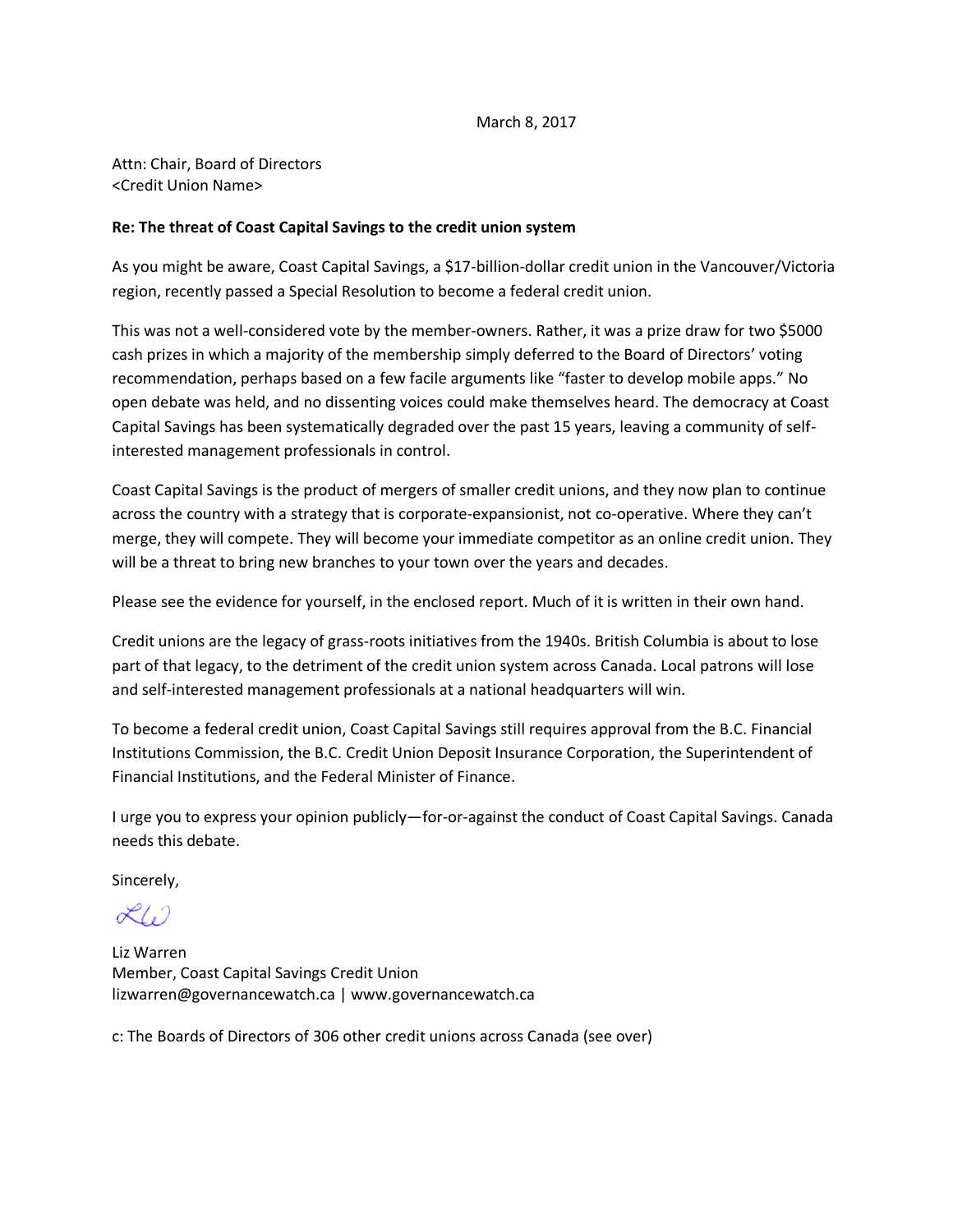## March 8, 2017

Attn: Chair, Board of Directors <Credit Union Name>

## **Re: The threat of Coast Capital Savings to the credit union system**

As you might be aware, Coast Capital Savings, a \$17-billion-dollar credit union in the Vancouver/Victoria region, recently passed a Special Resolution to become a federal credit union.

This was not a well-considered vote by the member-owners. Rather, it was a prize draw for two \$5000 cash prizes in which a majority of the membership simply deferred to the Board of Directors' voting recommendation, perhaps based on a few facile arguments like "faster to develop mobile apps." No open debate was held, and no dissenting voices could make themselves heard. The democracy at Coast Capital Savings has been systematically degraded over the past 15 years, leaving a community of selfinterested management professionals in control.

Coast Capital Savings is the product of mergers of smaller credit unions, and they now plan to continue across the country with a strategy that is corporate-expansionist, not co-operative. Where they can't merge, they will compete. They will become your immediate competitor as an online credit union. They will be a threat to bring new branches to your town over the years and decades.

Please see the evidence for yourself, in the enclosed report. Much of it is written in their own hand.

Credit unions are the legacy of grass-roots initiatives from the 1940s. British Columbia is about to lose part of that legacy, to the detriment of the credit union system across Canada. Local patrons will lose and self-interested management professionals at a national headquarters will win.

To become a federal credit union, Coast Capital Savings still requires approval from the B.C. Financial Institutions Commission, the B.C. Credit Union Deposit Insurance Corporation, the Superintendent of Financial Institutions, and the Federal Minister of Finance.

I urge you to express your opinion publicly—for-or-against the conduct of Coast Capital Savings. Canada needs this debate.

Sincerely,

 $\chi_{\ell_2}$ 

Liz Warren Member, Coast Capital Savings Credit Union lizwarren@governancewatch.ca | www.governancewatch.ca

c: The Boards of Directors of 306 other credit unions across Canada (see over)